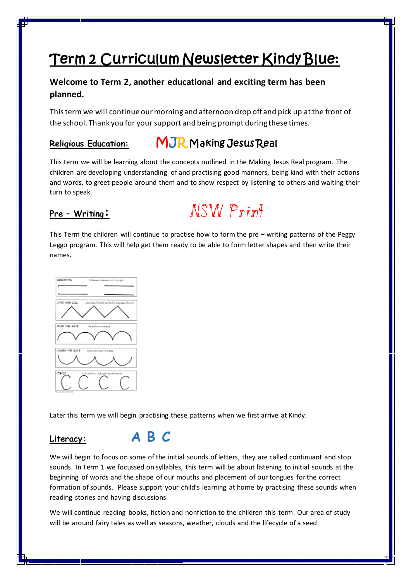# Term 2 Curriculum Newsletter Kindy Blue:

## **Welcome to Term 2, another educational and exciting term has been planned.**

This term we will continue our morning and afternoon drop off and pick up at the front of the school. Thank you for your support and being prompt during these times.

## **Religious Education:** MJR Making Jesus Real

This term we will be learning about the concepts outlined in the Making Jesus Real program. The children are developing understanding of and practising good manners, being kind with their actions and words, to greet people around them and to show respect by listening to others and waiting their turn to speak.



This Term the children will continue to practise how to form the pre – writing patterns of the Peggy Leggo program. This will help get them ready to be able to form letter shapes and then write their names.



Later this term we will begin practising these patterns when we first arrive at Kindy.

## **Literacy: A B C**

We will begin to focus on some of the initial sounds of letters, they are called continuant and stop sounds. In Term 1 we focussed on syllables, this term will be about listening to initial sounds at the beginning of words and the shape of our mouths and placement of our tongues for the correct formation of sounds. Please support your child's learning at home by practising these sounds when reading stories and having discussions.

We will continue reading books, fiction and nonfiction to the children this term. Our area of study will be around fairy tales as well as seasons, weather, clouds and the lifecycle of a seed.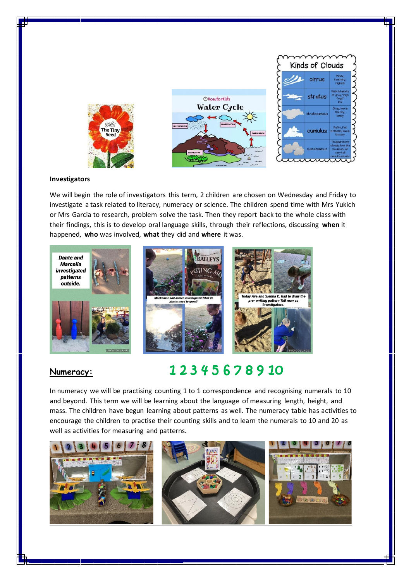

### **Investigators**

We will begin the role of investigators this term, 2 children are chosen on Wednesday and Friday to investigate a task related to literacy, numeracy or science. The children spend time with Mrs Yukich or Mrs Garcia to research, problem solve the task. Then they report back to the whole class with their findings, this is to develop oral language skills, through their reflections, discussing **when** it happened, **who** was involved, **what** they did and **where** it was.



## **Numeracy:** 1 2 3 4 5 6 7 8 9 10

In numeracy we will be practising counting 1 to 1 correspondence and recognising numerals to 10 and beyond. This term we will be learning about the language of measuring length, height, and mass. The children have begun learning about patterns as well. The numeracy table has activities to encourage the children to practise their counting skills and to learn the numerals to 10 and 20 as well as activities for measuring and patterns.